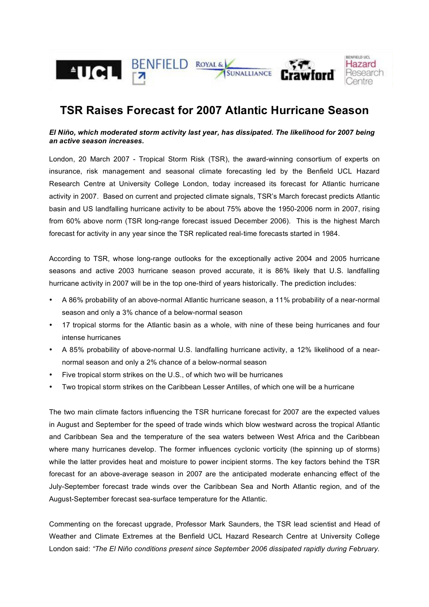

# **TSR Raises Forecast for 2007 Atlantic Hurricane Season**

## *El Niño, which moderated storm activity last year, has dissipated. The likelihood for 2007 being an active season increases.*

London, 20 March 2007 - Tropical Storm Risk (TSR), the award-winning consortium of experts on insurance, risk management and seasonal climate forecasting led by the Benfield UCL Hazard Research Centre at University College London, today increased its forecast for Atlantic hurricane activity in 2007. Based on current and projected climate signals, TSR's March forecast predicts Atlantic basin and US landfalling hurricane activity to be about 75% above the 1950-2006 norm in 2007, rising from 60% above norm (TSR long-range forecast issued December 2006). This is the highest March forecast for activity in any year since the TSR replicated real-time forecasts started in 1984.

According to TSR, whose long-range outlooks for the exceptionally active 2004 and 2005 hurricane seasons and active 2003 hurricane season proved accurate, it is 86% likely that U.S. landfalling hurricane activity in 2007 will be in the top one-third of years historically. The prediction includes:

- A 86% probability of an above-normal Atlantic hurricane season, a 11% probability of a near-normal season and only a 3% chance of a below-normal season
- 17 tropical storms for the Atlantic basin as a whole, with nine of these being hurricanes and four intense hurricanes
- A 85% probability of above-normal U.S. landfalling hurricane activity, a 12% likelihood of a nearnormal season and only a 2% chance of a below-normal season
- Five tropical storm strikes on the U.S., of which two will be hurricanes
- Two tropical storm strikes on the Caribbean Lesser Antilles, of which one will be a hurricane

The two main climate factors influencing the TSR hurricane forecast for 2007 are the expected values in August and September for the speed of trade winds which blow westward across the tropical Atlantic and Caribbean Sea and the temperature of the sea waters between West Africa and the Caribbean where many hurricanes develop. The former influences cyclonic vorticity (the spinning up of storms) while the latter provides heat and moisture to power incipient storms. The key factors behind the TSR forecast for an above-average season in 2007 are the anticipated moderate enhancing effect of the July-September forecast trade winds over the Caribbean Sea and North Atlantic region, and of the August-September forecast sea-surface temperature for the Atlantic.

Commenting on the forecast upgrade, Professor Mark Saunders, the TSR lead scientist and Head of Weather and Climate Extremes at the Benfield UCL Hazard Research Centre at University College London said: *"The El Niño conditions present since September 2006 dissipated rapidly during February.*